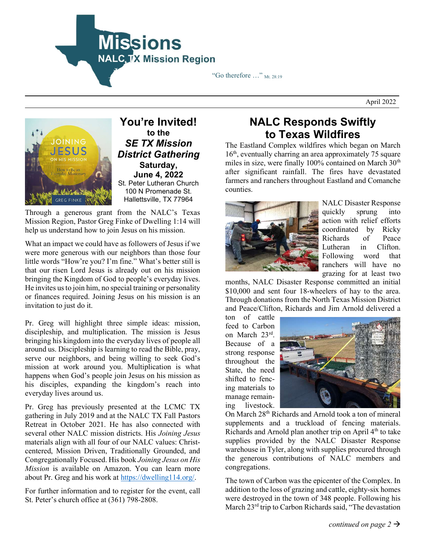

"Go therefore  $\ldots$ " Mt. 28:19

April 2022



You're Invited! to the SE TX Mission District Gathering Saturday, June 4, 2022 St. Peter Lutheran Church 100 N Promenade St. Hallettsville, TX 77964

Through a generous grant from the NALC's Texas Mission Region, Pastor Greg Finke of Dwelling 1:14 will help us understand how to join Jesus on his mission.

What an impact we could have as followers of Jesus if we were more generous with our neighbors than those four little words "How're you? I'm fine." What's better still is that our risen Lord Jesus is already out on his mission bringing the Kingdom of God to people's everyday lives. He invites us to join him, no special training or personality or finances required. Joining Jesus on his mission is an invitation to just do it.

Pr. Greg will highlight three simple ideas: mission, discipleship, and multiplication. The mission is Jesus bringing his kingdom into the everyday lives of people all around us. Discipleship is learning to read the Bible, pray, serve our neighbors, and being willing to seek God's mission at work around you. Multiplication is what happens when God's people join Jesus on his mission as his disciples, expanding the kingdom's reach into everyday lives around us.

Pr. Greg has previously presented at the LCMC TX gathering in July 2019 and at the NALC TX Fall Pastors Retreat in October 2021. He has also connected with several other NALC mission districts. His Joining Jesus materials align with all four of our NALC values: Christcentered, Mission Driven, Traditionally Grounded, and Congregationally Focused. His book Joining Jesus on His Mission is available on Amazon. You can learn more about Pr. Greg and his work at https://dwelling114.org/.

For further information and to register for the event, call St. Peter's church office at (361) 798-2808.

## NALC Responds Swiftly to Texas Wildfires

The Eastland Complex wildfires which began on March 16<sup>th</sup>, eventually charring an area approximately 75 square miles in size, were finally 100% contained on March 30<sup>th</sup> after significant rainfall. The fires have devastated farmers and ranchers throughout Eastland and Comanche counties.



NALC Disaster Response quickly sprung into action with relief efforts coordinated by Ricky Richards of Peace Lutheran in Clifton. Following word that ranchers will have no grazing for at least two

months, NALC Disaster Response committed an initial \$10,000 and sent four 18-wheelers of hay to the area. Through donations from the North Texas Mission District and Peace/Clifton, Richards and Jim Arnold delivered a

ton of cattle feed to Carbon on March 23rd . Because of a strong response throughout the State, the need shifted to fencing materials to manage remaining livestock.



On March 28<sup>th</sup> Richards and Arnold took a ton of mineral supplements and a truckload of fencing materials. Richards and Arnold plan another trip on April 4<sup>th</sup> to take supplies provided by the NALC Disaster Response warehouse in Tyler, along with supplies procured through the generous contributions of NALC members and congregations.

The town of Carbon was the epicenter of the Complex. In addition to the loss of grazing and cattle, eighty-six homes were destroyed in the town of 348 people. Following his March 23<sup>rd</sup> trip to Carbon Richards said, "The devastation